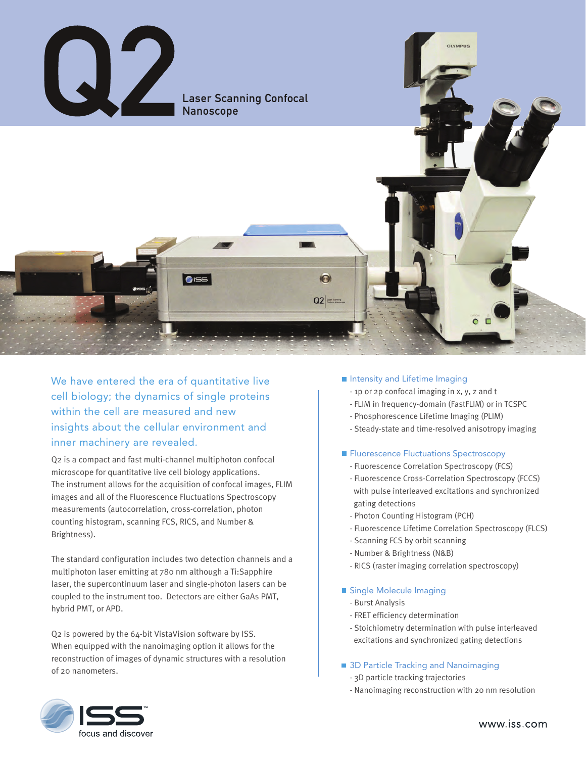

We have entered the era of quantitative live cell biology; the dynamics of single proteins within the cell are measured and new insights about the cellular environment and inner machinery are revealed.

Q2 is a compact and fast multi-channel multiphoton confocal microscope for quantitative live cell biology applications. The instrument allows for the acquisition of confocal images, FLIM images and all of the Fluorescence Fluctuations Spectroscopy measurements (autocorrelation, cross-correlation, photon counting histogram, scanning FCS, RICS, and Number & Brightness).

The standard configuration includes two detection channels and a multiphoton laser emitting at 780 nm although a Ti:Sapphire laser, the supercontinuum laser and single-photon lasers can be coupled to the instrument too. Detectors are either GaAs PMT, hybrid PMT, or APD.

Q2 is powered by the 64-bit VistaVision software by ISS. When equipped with the nanoimaging option it allows for the reconstruction of images of dynamic structures with a resolution of 20 nanometers.

### **Intensity and Lifetime Imaging**

- 1p or 2p confocal imaging in x, y, z and t
- FLIM in frequency-domain (FastFLIM) or in TCSPC
- Phosphorescence Lifetime Imaging (PLIM)
- Steady-state and time-resolved anisotropy imaging

### **Fluorescence Fluctuations Spectroscopy**

- Fluorescence Correlation Spectroscopy (FCS)
- Fluorescence Cross-Correlation Spectroscopy (FCCS) with pulse interleaved excitations and synchronized gating detections
- Photon Counting Histogram (PCH)
- Fluorescence Lifetime Correlation Spectroscopy (FLCS)
- Scanning FCS by orbit scanning
- Number & Brightness (N&B)
- RICS (raster imaging correlation spectroscopy)

## Single Molecule Imaging

- Burst Analysis
- FRET efficiency determination
- Stoichiometry determination with pulse interleaved excitations and synchronized gating detections

## **3D Particle Tracking and Nanoimaging**

- 3D particle tracking trajectories
- Nanoimaging reconstruction with 20 nm resolution